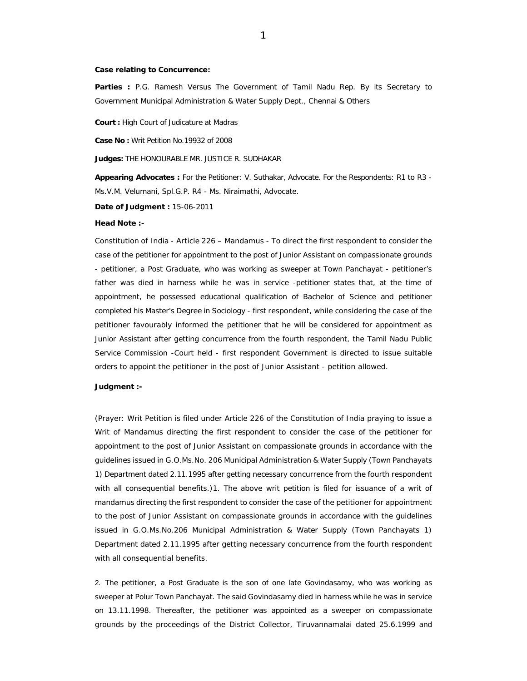## **Case relating to Concurrence:**

**Parties :** P.G. Ramesh Versus The Government of Tamil Nadu Rep. By its Secretary to Government Municipal Administration & Water Supply Dept., Chennai & Others

**Court :** High Court of Judicature at Madras

**Case No :** Writ Petition No.19932 of 2008

**Judges:** THE HONOURABLE MR. JUSTICE R. SUDHAKAR

**Appearing Advocates :** For the Petitioner: V. Suthakar, Advocate. For the Respondents: R1 to R3 - Ms.V.M. Velumani, Spl.G.P. R4 - Ms. Niraimathi, Advocate.

**Date of Judgment :** 15-06-2011

## **Head Note :-**

Constitution of India - Article 226 – Mandamus - To direct the first respondent to consider the case of the petitioner for appointment to the post of Junior Assistant on compassionate grounds - petitioner, a Post Graduate, who was working as sweeper at Town Panchayat - petitioner's father was died in harness while he was in service -petitioner states that, at the time of appointment, he possessed educational qualification of Bachelor of Science and petitioner completed his Master's Degree in Sociology - first respondent, while considering the case of the petitioner favourably informed the petitioner that he will be considered for appointment as Junior Assistant after getting concurrence from the fourth respondent, the Tamil Nadu Public Service Commission -Court held - first respondent Government is directed to issue suitable orders to appoint the petitioner in the post of Junior Assistant - petition allowed.

## **Judgment :-**

(Prayer: Writ Petition is filed under Article 226 of the Constitution of India praying to issue a Writ of Mandamus directing the first respondent to consider the case of the petitioner for appointment to the post of Junior Assistant on compassionate grounds in accordance with the guidelines issued in G.O.Ms.No. 206 Municipal Administration & Water Supply (Town Panchayats 1) Department dated 2.11.1995 after getting necessary concurrence from the fourth respondent with all consequential benefits.)1. The above writ petition is filed for issuance of a writ of mandamus directing the first respondent to consider the case of the petitioner for appointment to the post of Junior Assistant on compassionate grounds in accordance with the guidelines issued in G.O.Ms.No.206 Municipal Administration & Water Supply (Town Panchayats 1) Department dated 2.11.1995 after getting necessary concurrence from the fourth respondent with all consequential benefits.

2. The petitioner, a Post Graduate is the son of one late Govindasamy, who was working as sweeper at Polur Town Panchayat. The said Govindasamy died in harness while he was in service on 13.11.1998. Thereafter, the petitioner was appointed as a sweeper on compassionate grounds by the proceedings of the District Collector, Tiruvannamalai dated 25.6.1999 and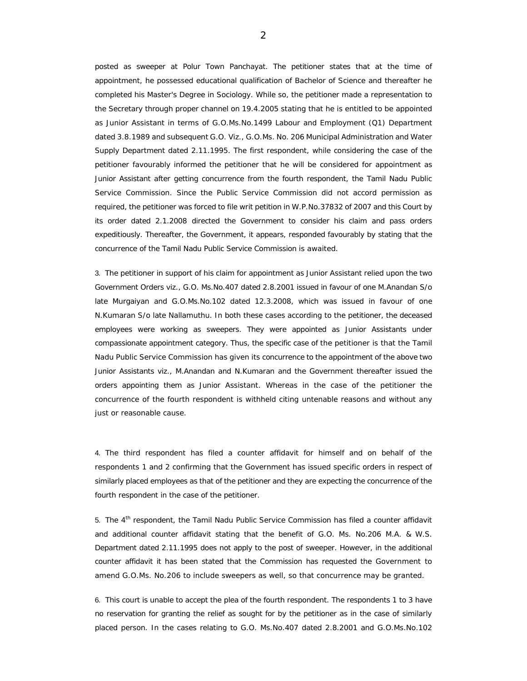posted as sweeper at Polur Town Panchayat. The petitioner states that at the time of appointment, he possessed educational qualification of Bachelor of Science and thereafter he completed his Master's Degree in Sociology. While so, the petitioner made a representation to the Secretary through proper channel on 19.4.2005 stating that he is entitled to be appointed as Junior Assistant in terms of G.O.Ms.No.1499 Labour and Employment (Q1) Department dated 3.8.1989 and subsequent G.O. Viz., G.O.Ms. No. 206 Municipal Administration and Water Supply Department dated 2.11.1995. The first respondent, while considering the case of the petitioner favourably informed the petitioner that he will be considered for appointment as Junior Assistant after getting concurrence from the fourth respondent, the Tamil Nadu Public Service Commission. Since the Public Service Commission did not accord permission as required, the petitioner was forced to file writ petition in W.P.No.37832 of 2007 and this Court by its order dated 2.1.2008 directed the Government to consider his claim and pass orders expeditiously. Thereafter, the Government, it appears, responded favourably by stating that the concurrence of the Tamil Nadu Public Service Commission is awaited.

3. The petitioner in support of his claim for appointment as Junior Assistant relied upon the two Government Orders viz., G.O. Ms.No.407 dated 2.8.2001 issued in favour of one M.Anandan S/o late Murgaiyan and G.O.Ms.No.102 dated 12.3.2008, which was issued in favour of one N.Kumaran S/o late Nallamuthu. In both these cases according to the petitioner, the deceased employees were working as sweepers. They were appointed as Junior Assistants under compassionate appointment category. Thus, the specific case of the petitioner is that the Tamil Nadu Public Service Commission has given its concurrence to the appointment of the above two Junior Assistants viz., M.Anandan and N.Kumaran and the Government thereafter issued the orders appointing them as Junior Assistant. Whereas in the case of the petitioner the concurrence of the fourth respondent is withheld citing untenable reasons and without any just or reasonable cause.

4. The third respondent has filed a counter affidavit for himself and on behalf of the respondents 1 and 2 confirming that the Government has issued specific orders in respect of similarly placed employees as that of the petitioner and they are expecting the concurrence of the fourth respondent in the case of the petitioner.

5. The  $4<sup>th</sup>$  respondent, the Tamil Nadu Public Service Commission has filed a counter affidavit and additional counter affidavit stating that the benefit of G.O. Ms. No.206 M.A. & W.S. Department dated 2.11.1995 does not apply to the post of sweeper. However, in the additional counter affidavit it has been stated that the Commission has requested the Government to amend G.O.Ms. No.206 to include sweepers as well, so that concurrence may be granted.

6. This court is unable to accept the plea of the fourth respondent. The respondents 1 to 3 have no reservation for granting the relief as sought for by the petitioner as in the case of similarly placed person. In the cases relating to G.O. Ms.No.407 dated 2.8.2001 and G.O.Ms.No.102